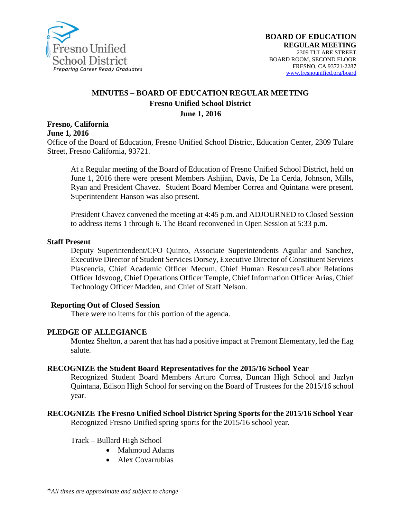

#### **MINUTES – BOARD OF EDUCATION REGULAR MEETING Fresno Unified School District June 1, 2016**

## **Fresno, California June 1, 2016**

Office of the Board of Education, Fresno Unified School District, Education Center, 2309 Tulare Street, Fresno California, 93721.

At a Regular meeting of the Board of Education of Fresno Unified School District, held on June 1, 2016 there were present Members Ashjian, Davis, De La Cerda, Johnson, Mills, Ryan and President Chavez. Student Board Member Correa and Quintana were present. Superintendent Hanson was also present.

President Chavez convened the meeting at 4:45 p.m. and ADJOURNED to Closed Session to address items 1 through 6. The Board reconvened in Open Session at 5:33 p.m.

#### **Staff Present**

Deputy Superintendent/CFO Quinto, Associate Superintendents Aguilar and Sanchez, Executive Director of Student Services Dorsey, Executive Director of Constituent Services Plascencia, Chief Academic Officer Mecum, Chief Human Resources/Labor Relations Officer Idsvoog, Chief Operations Officer Temple, Chief Information Officer Arias, Chief Technology Officer Madden, and Chief of Staff Nelson.

#### **Reporting Out of Closed Session**

There were no items for this portion of the agenda.

#### **PLEDGE OF ALLEGIANCE**

Montez Shelton, a parent that has had a positive impact at Fremont Elementary, led the flag salute.

#### **RECOGNIZE the Student Board Representatives for the 2015/16 School Year**

Recognized Student Board Members Arturo Correa, Duncan High School and Jazlyn Quintana, Edison High School for serving on the Board of Trustees for the 2015/16 school year.

## **RECOGNIZE The Fresno Unified School District Spring Sports for the 2015/16 School Year**

Recognized Fresno Unified spring sports for the 2015/16 school year.

Track – Bullard High School

- Mahmoud Adams
- Alex Covarrubias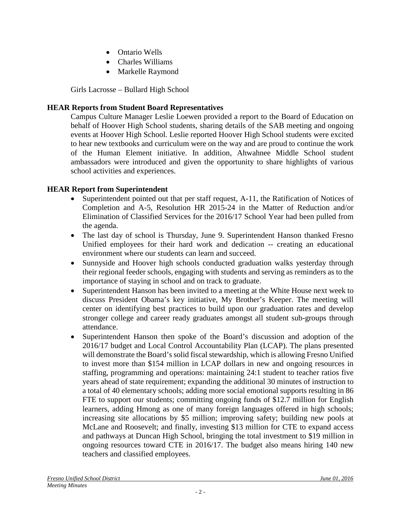- Ontario Wells
- Charles Williams
- Markelle Raymond

Girls Lacrosse – Bullard High School

## **HEAR Reports from Student Board Representatives**

Campus Culture Manager Leslie Loewen provided a report to the Board of Education on behalf of Hoover High School students, sharing details of the SAB meeting and ongoing events at Hoover High School. Leslie reported Hoover High School students were excited to hear new textbooks and curriculum were on the way and are proud to continue the work of the Human Element initiative. In addition, Ahwahnee Middle School student ambassadors were introduced and given the opportunity to share highlights of various school activities and experiences.

## **HEAR Report from Superintendent**

- Superintendent pointed out that per staff request, A-11, the Ratification of Notices of Completion and A-5, Resolution HR 2015-24 in the Matter of Reduction and/or Elimination of Classified Services for the 2016/17 School Year had been pulled from the agenda.
- The last day of school is Thursday, June 9. Superintendent Hanson thanked Fresno Unified employees for their hard work and dedication -- creating an educational environment where our students can learn and succeed.
- Sunnyside and Hoover high schools conducted graduation walks yesterday through their regional feeder schools, engaging with students and serving as reminders as to the importance of staying in school and on track to graduate.
- Superintendent Hanson has been invited to a meeting at the White House next week to discuss President Obama's key initiative, My Brother's Keeper. The meeting will center on identifying best practices to build upon our graduation rates and develop stronger college and career ready graduates amongst all student sub-groups through attendance.
- Superintendent Hanson then spoke of the Board's discussion and adoption of the 2016/17 budget and Local Control Accountability Plan (LCAP). The plans presented will demonstrate the Board's solid fiscal stewardship, which is allowing Fresno Unified to invest more than \$154 million in LCAP dollars in new and ongoing resources in staffing, programming and operations: maintaining 24:1 student to teacher ratios five years ahead of state requirement; expanding the additional 30 minutes of instruction to a total of 40 elementary schools; adding more social emotional supports resulting in 86 FTE to support our students; committing ongoing funds of \$12.7 million for English learners, adding Hmong as one of many foreign languages offered in high schools; increasing site allocations by \$5 million; improving safety; building new pools at McLane and Roosevelt; and finally, investing \$13 million for CTE to expand access and pathways at Duncan High School, bringing the total investment to \$19 million in ongoing resources toward CTE in 2016/17. The budget also means hiring 140 new teachers and classified employees.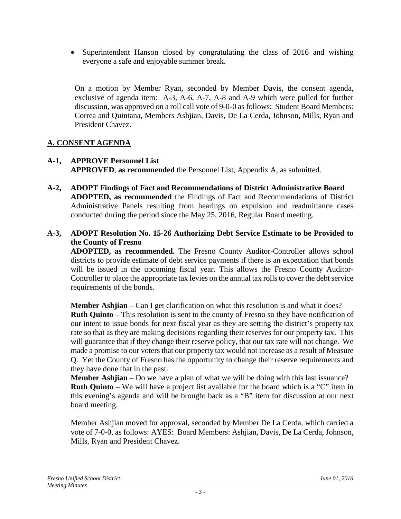• Superintendent Hanson closed by congratulating the class of 2016 and wishing everyone a safe and enjoyable summer break.

On a motion by Member Ryan, seconded by Member Davis, the consent agenda, exclusive of agenda item: A-3, A-6, A-7, A-8 and A-9 which were pulled for further discussion, was approved on a roll call vote of 9-0-0 as follows: Student Board Members: Correa and Quintana, Members Ashjian, Davis, De La Cerda, Johnson, Mills, Ryan and President Chavez.

## **A. CONSENT AGENDA**

- **A-1, APPROVE Personnel List APPROVED**, **as recommended** the Personnel List, Appendix A, as submitted.
- **A-2, ADOPT Findings of Fact and Recommendations of District Administrative Board ADOPTED, as recommended** the Findings of Fact and Recommendations of District Administrative Panels resulting from hearings on expulsion and readmittance cases conducted during the period since the May 25, 2016, Regular Board meeting.

#### **A-3, ADOPT Resolution No. 15-26 Authorizing Debt Service Estimate to be Provided to the County of Fresno**

**ADOPTED, as recommended.** The Fresno County Auditor-Controller allows school districts to provide estimate of debt service payments if there is an expectation that bonds will be issued in the upcoming fiscal year. This allows the Fresno County Auditor-Controller to place the appropriate tax levies on the annual tax rolls to cover the debt service requirements of the bonds.

**Member Ashjian** – Can I get clarification on what this resolution is and what it does? **Ruth Quinto** – This resolution is sent to the county of Fresno so they have notification of our intent to issue bonds for next fiscal year as they are setting the district's property tax rate so that as they are making decisions regarding their reserves for our property tax. This will guarantee that if they change their reserve policy, that our tax rate will not change. We made a promise to our voters that our property tax would not increase as a result of Measure Q. Yet the County of Fresno has the opportunity to change their reserve requirements and they have done that in the past.

**Member Ashjian** – Do we have a plan of what we will be doing with this last issuance? **Ruth Quinto** – We will have a project list available for the board which is a "C" item in this evening's agenda and will be brought back as a "B" item for discussion at our next board meeting.

Member Ashjian moved for approval, seconded by Member De La Cerda, which carried a vote of 7-0-0, as follows: AYES: Board Members: Ashjian, Davis, De La Cerda, Johnson, Mills, Ryan and President Chavez.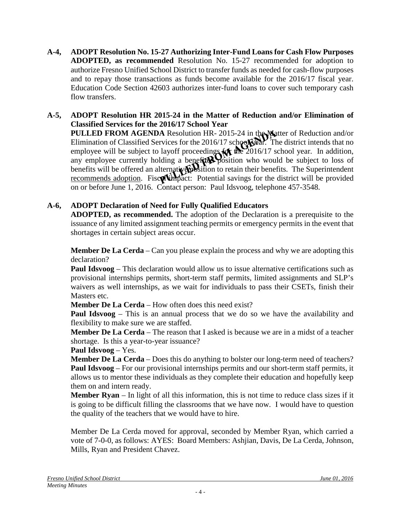**A-4, ADOPT Resolution No. 15-27 Authorizing Inter-Fund Loans for Cash Flow Purposes ADOPTED, as recommended** Resolution No. 15-27 recommended for adoption to authorize Fresno Unified School District to transfer funds as needed for cash-flow purposes and to repay those transactions as funds become available for the 2016/17 fiscal year. Education Code Section 42603 authorizes inter-fund loans to cover such temporary cash flow transfers.

#### **A-5, ADOPT Resolution HR 2015-24 in the Matter of Reduction and/or Elimination of Classified Services for the 2016/17 School Year**

**PULLED FROM AGENDA** Resolution HR-2015-24 in the Matter of Reduction and/or Elimination of Classified Services for the 2016/17 school  $\mathbb{R}^n$ . The district intends that no employee will be subject to layoff proceedings  $f(x)$  the 2016/17 school year. In addition, any employee currently holding a benefited position who would be subject to loss of benefits will be offered an alternative position to retain their benefits. The Superintendent recommends adoption. Fiscal impact: Potential savings for the district will be provided on or before June 1, 2016. Contact person: Paul Idsvoog, telephone 457-3548.

## **A-6, ADOPT Declaration of Need for Fully Qualified Educators**

**ADOPTED, as recommended.** The adoption of the Declaration is a prerequisite to the issuance of any limited assignment teaching permits or emergency permits in the event that shortages in certain subject areas occur.

**Member De La Cerda** – Can you please explain the process and why we are adopting this declaration?

**Paul Idsvoog** – This declaration would allow us to issue alternative certifications such as provisional internships permits, short-term staff permits, limited assignments and SLP's waivers as well internships, as we wait for individuals to pass their CSETs, finish their Masters etc.

**Member De La Cerda** – How often does this need exist?

**Paul Idsvoog** – This is an annual process that we do so we have the availability and flexibility to make sure we are staffed.

**Member De La Cerda** – The reason that I asked is because we are in a midst of a teacher shortage. Is this a year-to-year issuance?

#### **Paul Idsvoog** – Yes.

**Member De La Cerda** – Does this do anything to bolster our long-term need of teachers? **Paul Idsvoog** – For our provisional internships permits and our short-term staff permits, it allows us to mentor these individuals as they complete their education and hopefully keep them on and intern ready.

**Member Ryan** – In light of all this information, this is not time to reduce class sizes if it is going to be difficult filling the classrooms that we have now. I would have to question the quality of the teachers that we would have to hire.

Member De La Cerda moved for approval, seconded by Member Ryan, which carried a vote of 7-0-0, as follows: AYES: Board Members: Ashjian, Davis, De La Cerda, Johnson, Mills, Ryan and President Chavez.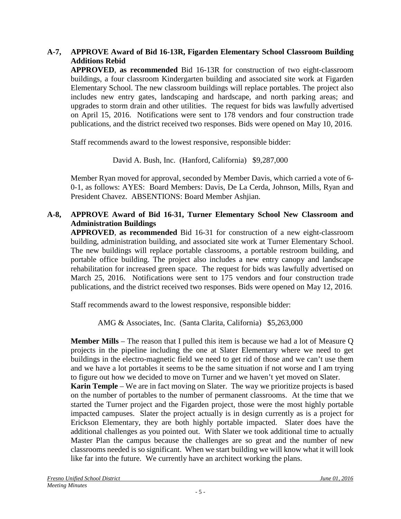## **A-7, APPROVE Award of Bid 16-13R, Figarden Elementary School Classroom Building Additions Rebid**

**APPROVED**, **as recommended** Bid 16-13R for construction of two eight-classroom buildings, a four classroom Kindergarten building and associated site work at Figarden Elementary School. The new classroom buildings will replace portables. The project also includes new entry gates, landscaping and hardscape, and north parking areas; and upgrades to storm drain and other utilities. The request for bids was lawfully advertised on April 15, 2016. Notifications were sent to 178 vendors and four construction trade publications, and the district received two responses. Bids were opened on May 10, 2016.

Staff recommends award to the lowest responsive, responsible bidder:

David A. Bush, Inc. (Hanford, California) \$9,287,000

Member Ryan moved for approval, seconded by Member Davis, which carried a vote of 6- 0-1, as follows: AYES: Board Members: Davis, De La Cerda, Johnson, Mills, Ryan and President Chavez. ABSENTIONS: Board Member Ashjian.

#### **A-8, APPROVE Award of Bid 16-31, Turner Elementary School New Classroom and Administration Buildings**

**APPROVED**, **as recommended** Bid 16-31 for construction of a new eight-classroom building, administration building, and associated site work at Turner Elementary School. The new buildings will replace portable classrooms, a portable restroom building, and portable office building. The project also includes a new entry canopy and landscape rehabilitation for increased green space. The request for bids was lawfully advertised on March 25, 2016. Notifications were sent to 175 vendors and four construction trade publications, and the district received two responses. Bids were opened on May 12, 2016.

Staff recommends award to the lowest responsive, responsible bidder:

AMG & Associates, Inc. (Santa Clarita, California) \$5,263,000

**Member Mills** – The reason that I pulled this item is because we had a lot of Measure Q projects in the pipeline including the one at Slater Elementary where we need to get buildings in the electro-magnetic field we need to get rid of those and we can't use them and we have a lot portables it seems to be the same situation if not worse and I am trying to figure out how we decided to move on Turner and we haven't yet moved on Slater.

**Karin Temple** – We are in fact moving on Slater. The way we prioritize projects is based on the number of portables to the number of permanent classrooms. At the time that we started the Turner project and the Figarden project, those were the most highly portable impacted campuses. Slater the project actually is in design currently as is a project for Erickson Elementary, they are both highly portable impacted. Slater does have the additional challenges as you pointed out. With Slater we took additional time to actually Master Plan the campus because the challenges are so great and the number of new classrooms needed is so significant. When we start building we will know what it will look like far into the future. We currently have an architect working the plans.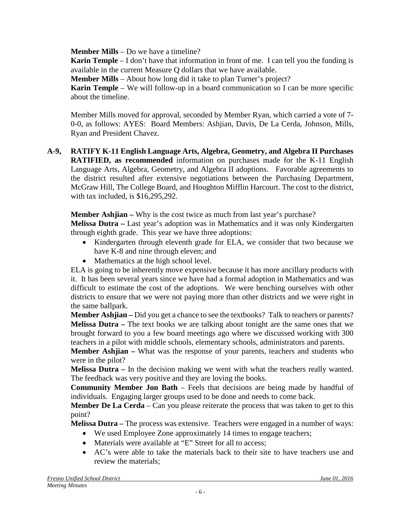**Member Mills** – Do we have a timeline?

**Karin Temple** – I don't have that information in front of me. I can tell you the funding is available in the current Measure Q dollars that we have available.

**Member Mills** – About how long did it take to plan Turner's project?

**Karin Temple** – We will follow-up in a board communication so I can be more specific about the timeline.

Member Mills moved for approval, seconded by Member Ryan, which carried a vote of 7- 0-0, as follows: AYES: Board Members: Ashjian, Davis, De La Cerda, Johnson, Mills, Ryan and President Chavez.

**A-9, RATIFY K-11 English Language Arts, Algebra, Geometry, and Algebra II Purchases RATIFIED, as recommended** information on purchases made for the K-11 English Language Arts, Algebra, Geometry, and Algebra II adoptions. Favorable agreements to the district resulted after extensive negotiations between the Purchasing Department, McGraw Hill, The College Board, and Houghton Mifflin Harcourt. The cost to the district, with tax included, is \$16,295,292.

**Member Ashjian –** Why is the cost twice as much from last year's purchase?

**Melissa Dutra –** Last year's adoption was in Mathematics and it was only Kindergarten through eighth grade. This year we have three adoptions:

- Kindergarten through eleventh grade for ELA, we consider that two because we have K-8 and nine through eleven; and
- Mathematics at the high school level.

ELA is going to be inherently move expensive because it has more ancillary products with it. It has been several years since we have had a formal adoption in Mathematics and was difficult to estimate the cost of the adoptions. We were benching ourselves with other districts to ensure that we were not paying more than other districts and we were right in the same ballpark.

**Member Ashjian –** Did you get a chance to see the textbooks? Talk to teachers or parents? **Melissa Dutra –** The text books we are talking about tonight are the same ones that we brought forward to you a few board meetings ago where we discussed working with 300 teachers in a pilot with middle schools, elementary schools, administrators and parents.

**Member Ashjian –** What was the response of your parents, teachers and students who were in the pilot?

**Melissa Dutra** – In the decision making we went with what the teachers really wanted. The feedback was very positive and they are loving the books.

**Community Member Jon Bath** – Feels that decisions are being made by handful of individuals. Engaging larger groups used to be done and needs to come back.

**Member De La Cerda** – Can you please reiterate the process that was taken to get to this point?

**Melissa Dutra –** The process was extensive. Teachers were engaged in a number of ways:

- We used Employee Zone approximately 14 times to engage teachers;
- Materials were available at "E" Street for all to access:
- AC's were able to take the materials back to their site to have teachers use and review the materials;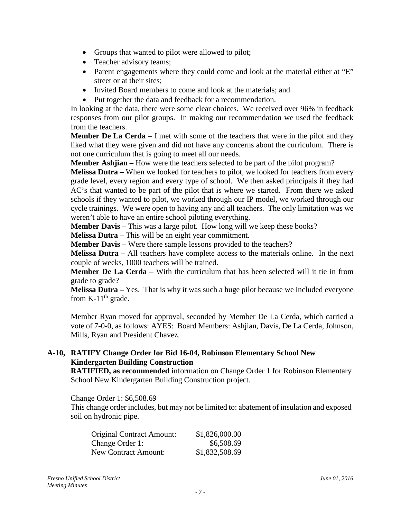- Groups that wanted to pilot were allowed to pilot;
- Teacher advisory teams;
- Parent engagements where they could come and look at the material either at "E" street or at their sites;
- Invited Board members to come and look at the materials; and
- Put together the data and feedback for a recommendation.

In looking at the data, there were some clear choices. We received over 96% in feedback responses from our pilot groups. In making our recommendation we used the feedback from the teachers.

**Member De La Cerda** – I met with some of the teachers that were in the pilot and they liked what they were given and did not have any concerns about the curriculum. There is not one curriculum that is going to meet all our needs.

**Member Ashjian –** How were the teachers selected to be part of the pilot program?

**Melissa Dutra –** When we looked for teachers to pilot, we looked for teachers from every grade level, every region and every type of school. We then asked principals if they had AC's that wanted to be part of the pilot that is where we started. From there we asked schools if they wanted to pilot, we worked through our IP model, we worked through our cycle trainings. We were open to having any and all teachers. The only limitation was we weren't able to have an entire school piloting everything.

**Member Davis –** This was a large pilot. How long will we keep these books?

**Melissa Dutra –** This will be an eight year commitment.

**Member Davis –** Were there sample lessons provided to the teachers?

**Melissa Dutra –** All teachers have complete access to the materials online. In the next couple of weeks, 1000 teachers will be trained.

**Member De La Cerda** – With the curriculum that has been selected will it tie in from grade to grade?

**Melissa Dutra –** Yes. That is why it was such a huge pilot because we included everyone from K-11<sup>th</sup> grade.

Member Ryan moved for approval, seconded by Member De La Cerda, which carried a vote of 7-0-0, as follows: AYES: Board Members: Ashjian, Davis, De La Cerda, Johnson, Mills, Ryan and President Chavez.

#### **A-10, RATIFY Change Order for Bid 16-04, Robinson Elementary School New Kindergarten Building Construction**

**RATIFIED, as recommended** information on Change Order 1 for Robinson Elementary School New Kindergarten Building Construction project*.*

Change Order 1: \$6,508.69

This change order includes, but may not be limited to: abatement of insulation and exposed soil on hydronic pipe.

| <b>Original Contract Amount:</b> | \$1,826,000.00 |
|----------------------------------|----------------|
| Change Order 1:                  | \$6,508.69     |
| <b>New Contract Amount:</b>      | \$1,832,508.69 |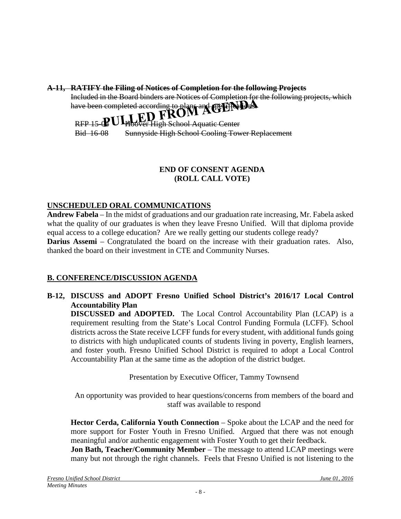#### **A-11, RATIFY the Filing of Notices of Completion for the following Projects**

Included in the Board binders are Notices of Completion for the following projects, which

# have been completed according to plans and specifical  $\bf{R}$

RFP 15 $\mathbf{R}$ Bid 16-08 **Sver High School Aquatic Center** Sunnyside High School Cooling Tower Replacement

#### **END OF CONSENT AGENDA (ROLL CALL VOTE)**

## **UNSCHEDULED ORAL COMMUNICATIONS**

**Andrew Fabela** – In the midst of graduations and our graduation rate increasing, Mr. Fabela asked what the quality of our graduates is when they leave Fresno Unified. Will that diploma provide equal access to a college education? Are we really getting our students college ready?

**Darius Assemi** – Congratulated the board on the increase with their graduation rates. Also, thanked the board on their investment in CTE and Community Nurses.

## **B. CONFERENCE/DISCUSSION AGENDA**

**B-12, DISCUSS and ADOPT Fresno Unified School District's 2016/17 Local Control Accountability Plan**

**DISCUSSED and ADOPTED.** The Local Control Accountability Plan (LCAP) is a requirement resulting from the State's Local Control Funding Formula (LCFF). School districts across the State receive LCFF funds for every student, with additional funds going to districts with high unduplicated counts of students living in poverty, English learners, and foster youth. Fresno Unified School District is required to adopt a Local Control Accountability Plan at the same time as the adoption of the district budget.

Presentation by Executive Officer, Tammy Townsend

An opportunity was provided to hear questions/concerns from members of the board and staff was available to respond

**Hector Cerda, California Youth Connection** – Spoke about the LCAP and the need for more support for Foster Youth in Fresno Unified. Argued that there was not enough meaningful and/or authentic engagement with Foster Youth to get their feedback.

**Jon Bath, Teacher/Community Member** – The message to attend LCAP meetings were many but not through the right channels. Feels that Fresno Unified is not listening to the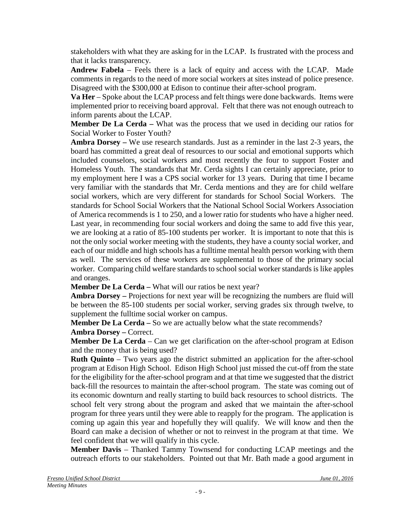stakeholders with what they are asking for in the LCAP. Is frustrated with the process and that it lacks transparency.

**Andrew Fabela** – Feels there is a lack of equity and access with the LCAP. Made comments in regards to the need of more social workers at sites instead of police presence. Disagreed with the \$300,000 at Edison to continue their after-school program.

**Va Her** – Spoke about the LCAP process and felt things were done backwards. Items were implemented prior to receiving board approval. Felt that there was not enough outreach to inform parents about the LCAP.

**Member De La Cerda –** What was the process that we used in deciding our ratios for Social Worker to Foster Youth?

**Ambra Dorsey –** We use research standards. Just as a reminder in the last 2-3 years, the board has committed a great deal of resources to our social and emotional supports which included counselors, social workers and most recently the four to support Foster and Homeless Youth. The standards that Mr. Cerda sights I can certainly appreciate, prior to my employment here I was a CPS social worker for 13 years. During that time I became very familiar with the standards that Mr. Cerda mentions and they are for child welfare social workers, which are very different for standards for School Social Workers. The standards for School Social Workers that the National School Social Workers Association of America recommends is 1 to 250, and a lower ratio for students who have a higher need. Last year, in recommending four social workers and doing the same to add five this year, we are looking at a ratio of 85-100 students per worker. It is important to note that this is not the only social worker meeting with the students, they have a county social worker, and each of our middle and high schools has a fulltime mental health person working with them as well. The services of these workers are supplemental to those of the primary social worker. Comparing child welfare standards to school social worker standards is like apples and oranges.

**Member De La Cerda –** What will our ratios be next year?

**Ambra Dorsey –** Projections for next year will be recognizing the numbers are fluid will be between the 85-100 students per social worker, serving grades six through twelve, to supplement the fulltime social worker on campus.

**Member De La Cerda** – So we are actually below what the state recommends?

**Ambra Dorsey –** Correct.

**Member De La Cerda** – Can we get clarification on the after-school program at Edison and the money that is being used?

**Ruth Quinto** – Two years ago the district submitted an application for the after-school program at Edison High School. Edison High School just missed the cut-off from the state for the eligibility for the after-school program and at that time we suggested that the district back-fill the resources to maintain the after-school program. The state was coming out of its economic downturn and really starting to build back resources to school districts. The school felt very strong about the program and asked that we maintain the after-school program for three years until they were able to reapply for the program. The application is coming up again this year and hopefully they will qualify. We will know and then the Board can make a decision of whether or not to reinvest in the program at that time. We feel confident that we will qualify in this cycle.

**Member Davis** – Thanked Tammy Townsend for conducting LCAP meetings and the outreach efforts to our stakeholders. Pointed out that Mr. Bath made a good argument in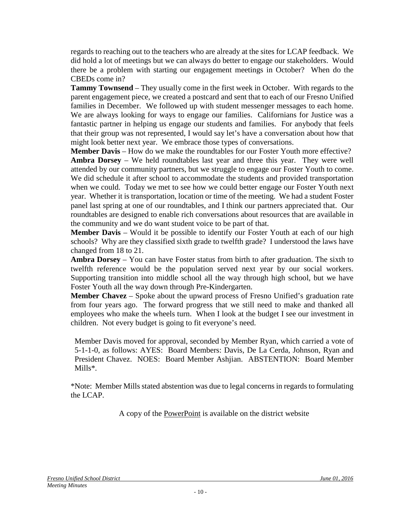regards to reaching out to the teachers who are already at the sites for LCAP feedback. We did hold a lot of meetings but we can always do better to engage our stakeholders. Would there be a problem with starting our engagement meetings in October? When do the CBEDs come in?

**Tammy Townsend** – They usually come in the first week in October. With regards to the parent engagement piece, we created a postcard and sent that to each of our Fresno Unified families in December. We followed up with student messenger messages to each home. We are always looking for ways to engage our families. Californians for Justice was a fantastic partner in helping us engage our students and families. For anybody that feels that their group was not represented, I would say let's have a conversation about how that might look better next year. We embrace those types of conversations.

**Member Davis** – How do we make the roundtables for our Foster Youth more effective? **Ambra Dorsey** – We held roundtables last year and three this year. They were well attended by our community partners, but we struggle to engage our Foster Youth to come. We did schedule it after school to accommodate the students and provided transportation when we could. Today we met to see how we could better engage our Foster Youth next year. Whether it is transportation, location or time of the meeting. We had a student Foster panel last spring at one of our roundtables, and I think our partners appreciated that. Our roundtables are designed to enable rich conversations about resources that are available in the community and we do want student voice to be part of that.

**Member Davis** – Would it be possible to identify our Foster Youth at each of our high schools? Why are they classified sixth grade to twelfth grade? I understood the laws have changed from 18 to 21.

**Ambra Dorsey** – You can have Foster status from birth to after graduation. The sixth to twelfth reference would be the population served next year by our social workers. Supporting transition into middle school all the way through high school, but we have Foster Youth all the way down through Pre-Kindergarten.

**Member Chavez** – Spoke about the upward process of Fresno Unified's graduation rate from four years ago. The forward progress that we still need to make and thanked all employees who make the wheels turn. When I look at the budget I see our investment in children. Not every budget is going to fit everyone's need.

Member Davis moved for approval, seconded by Member Ryan, which carried a vote of 5-1-1-0, as follows: AYES: Board Members: Davis, De La Cerda, Johnson, Ryan and President Chavez. NOES: Board Member Ashjian. ABSTENTION: Board Member Mills\**.*

\*Note: Member Mills stated abstention was due to legal concerns in regards to formulating the LCAP.

A copy of the PowerPoint is available on the district website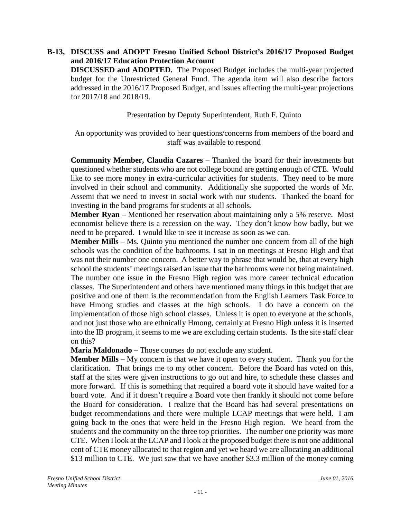## **B-13, DISCUSS and ADOPT Fresno Unified School District's 2016/17 Proposed Budget and 2016/17 Education Protection Account**

**DISCUSSED and ADOPTED.** The Proposed Budget includes the multi-year projected budget for the Unrestricted General Fund. The agenda item will also describe factors addressed in the 2016/17 Proposed Budget, and issues affecting the multi-year projections for 2017/18 and 2018/19.

Presentation by Deputy Superintendent, Ruth F. Quinto

An opportunity was provided to hear questions/concerns from members of the board and staff was available to respond

**Community Member, Claudia Cazares** – Thanked the board for their investments but questioned whether students who are not college bound are getting enough of CTE. Would like to see more money in extra-curricular activities for students. They need to be more involved in their school and community. Additionally she supported the words of Mr. Assemi that we need to invest in social work with our students. Thanked the board for investing in the band programs for students at all schools.

**Member Ryan** – Mentioned her reservation about maintaining only a 5% reserve. Most economist believe there is a recession on the way. They don't know how badly, but we need to be prepared. I would like to see it increase as soon as we can.

**Member Mills** – Ms. Quinto you mentioned the number one concern from all of the high schools was the condition of the bathrooms. I sat in on meetings at Fresno High and that was not their number one concern. A better way to phrase that would be, that at every high school the students' meetings raised an issue that the bathrooms were not being maintained. The number one issue in the Fresno High region was more career technical education classes. The Superintendent and others have mentioned many things in this budget that are positive and one of them is the recommendation from the English Learners Task Force to have Hmong studies and classes at the high schools. I do have a concern on the implementation of those high school classes. Unless it is open to everyone at the schools, and not just those who are ethnically Hmong, certainly at Fresno High unless it is inserted into the IB program, it seems to me we are excluding certain students. Is the site staff clear on this?

**Maria Maldonado** – Those courses do not exclude any student.

**Member Mills** – My concern is that we have it open to every student. Thank you for the clarification. That brings me to my other concern. Before the Board has voted on this, staff at the sites were given instructions to go out and hire, to schedule these classes and more forward. If this is something that required a board vote it should have waited for a board vote. And if it doesn't require a Board vote then frankly it should not come before the Board for consideration. I realize that the Board has had several presentations on budget recommendations and there were multiple LCAP meetings that were held. I am going back to the ones that were held in the Fresno High region. We heard from the students and the community on the three top priorities. The number one priority was more CTE. When I look at the LCAP and I look at the proposed budget there is not one additional cent of CTE money allocated to that region and yet we heard we are allocating an additional \$13 million to CTE. We just saw that we have another \$3.3 million of the money coming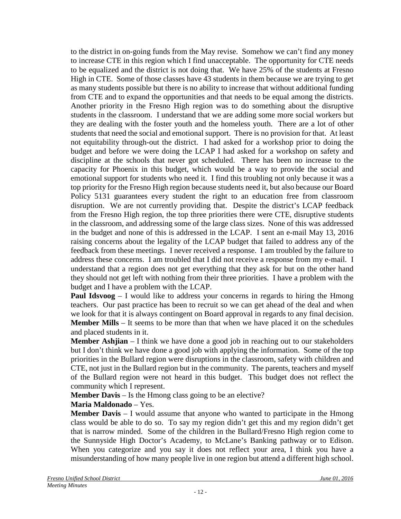to the district in on-going funds from the May revise. Somehow we can't find any money to increase CTE in this region which I find unacceptable. The opportunity for CTE needs to be equalized and the district is not doing that. We have 25% of the students at Fresno High in CTE. Some of those classes have 43 students in them because we are trying to get as many students possible but there is no ability to increase that without additional funding from CTE and to expand the opportunities and that needs to be equal among the districts. Another priority in the Fresno High region was to do something about the disruptive students in the classroom. I understand that we are adding some more social workers but they are dealing with the foster youth and the homeless youth. There are a lot of other students that need the social and emotional support. There is no provision for that. At least not equitability through-out the district. I had asked for a workshop prior to doing the budget and before we were doing the LCAP I had asked for a workshop on safety and discipline at the schools that never got scheduled. There has been no increase to the capacity for Phoenix in this budget, which would be a way to provide the social and emotional support for students who need it. I find this troubling not only because it was a top priority for the Fresno High region because students need it, but also because our Board Policy 5131 guarantees every student the right to an education free from classroom disruption. We are not currently providing that. Despite the district's LCAP feedback from the Fresno High region, the top three priorities there were CTE, disruptive students in the classroom, and addressing some of the large class sizes. None of this was addressed in the budget and none of this is addressed in the LCAP. I sent an e-mail May 13, 2016 raising concerns about the legality of the LCAP budget that failed to address any of the feedback from these meetings. I never received a response. I am troubled by the failure to address these concerns. I am troubled that I did not receive a response from my e-mail. I understand that a region does not get everything that they ask for but on the other hand they should not get left with nothing from their three priorities. I have a problem with the budget and I have a problem with the LCAP.

**Paul Idsvoog** – I would like to address your concerns in regards to hiring the Hmong teachers. Our past practice has been to recruit so we can get ahead of the deal and when we look for that it is always contingent on Board approval in regards to any final decision. **Member Mills** – It seems to be more than that when we have placed it on the schedules and placed students in it.

**Member Ashjian** – I think we have done a good job in reaching out to our stakeholders but I don't think we have done a good job with applying the information. Some of the top priorities in the Bullard region were disruptions in the classroom, safety with children and CTE, not just in the Bullard region but in the community. The parents, teachers and myself of the Bullard region were not heard in this budget. This budget does not reflect the community which I represent.

**Member Davis** – Is the Hmong class going to be an elective?

#### **Maria Maldonado** – Yes.

**Member Davis** – I would assume that anyone who wanted to participate in the Hmong class would be able to do so. To say my region didn't get this and my region didn't get that is narrow minded. Some of the children in the Bullard/Fresno High region come to the Sunnyside High Doctor's Academy, to McLane's Banking pathway or to Edison. When you categorize and you say it does not reflect your area, I think you have a misunderstanding of how many people live in one region but attend a different high school.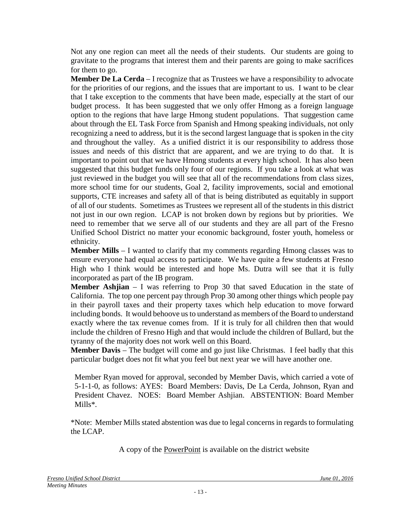Not any one region can meet all the needs of their students. Our students are going to gravitate to the programs that interest them and their parents are going to make sacrifices for them to go.

**Member De La Cerda** – I recognize that as Trustees we have a responsibility to advocate for the priorities of our regions, and the issues that are important to us. I want to be clear that I take exception to the comments that have been made, especially at the start of our budget process. It has been suggested that we only offer Hmong as a foreign language option to the regions that have large Hmong student populations. That suggestion came about through the EL Task Force from Spanish and Hmong speaking individuals, not only recognizing a need to address, but it is the second largest language that is spoken in the city and throughout the valley. As a unified district it is our responsibility to address those issues and needs of this district that are apparent, and we are trying to do that. It is important to point out that we have Hmong students at every high school. It has also been suggested that this budget funds only four of our regions. If you take a look at what was just reviewed in the budget you will see that all of the recommendations from class sizes, more school time for our students, Goal 2, facility improvements, social and emotional supports, CTE increases and safety all of that is being distributed as equitably in support of all of our students. Sometimes as Trustees we represent all of the students in this district not just in our own region. LCAP is not broken down by regions but by priorities. We need to remember that we serve all of our students and they are all part of the Fresno Unified School District no matter your economic background, foster youth, homeless or ethnicity.

**Member Mills** – I wanted to clarify that my comments regarding Hmong classes was to ensure everyone had equal access to participate. We have quite a few students at Fresno High who I think would be interested and hope Ms. Dutra will see that it is fully incorporated as part of the IB program.

**Member Ashjian** – I was referring to Prop 30 that saved Education in the state of California. The top one percent pay through Prop 30 among other things which people pay in their payroll taxes and their property taxes which help education to move forward including bonds. It would behoove us to understand as members of the Board to understand exactly where the tax revenue comes from. If it is truly for all children then that would include the children of Fresno High and that would include the children of Bullard, but the tyranny of the majority does not work well on this Board.

**Member Davis** – The budget will come and go just like Christmas. I feel badly that this particular budget does not fit what you feel but next year we will have another one.

Member Ryan moved for approval, seconded by Member Davis, which carried a vote of 5-1-1-0, as follows: AYES: Board Members: Davis, De La Cerda, Johnson, Ryan and President Chavez. NOES: Board Member Ashjian. ABSTENTION: Board Member Mills\**.*

\*Note: Member Mills stated abstention was due to legal concerns in regards to formulating the LCAP.

A copy of the PowerPoint is available on the district website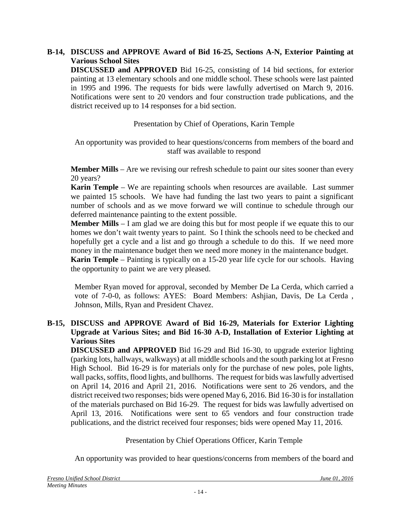#### **B-14, DISCUSS and APPROVE Award of Bid 16-25, Sections A-N, Exterior Painting at Various School Sites**

**DISCUSSED and APPROVED** Bid 16-25, consisting of 14 bid sections, for exterior painting at 13 elementary schools and one middle school. These schools were last painted in 1995 and 1996. The requests for bids were lawfully advertised on March 9, 2016. Notifications were sent to 20 vendors and four construction trade publications, and the district received up to 14 responses for a bid section.

Presentation by Chief of Operations, Karin Temple

An opportunity was provided to hear questions/concerns from members of the board and staff was available to respond

**Member Mills** – Are we revising our refresh schedule to paint our sites sooner than every 20 years?

**Karin Temple** – We are repainting schools when resources are available. Last summer we painted 15 schools. We have had funding the last two years to paint a significant number of schools and as we move forward we will continue to schedule through our deferred maintenance painting to the extent possible.

**Member Mills** – I am glad we are doing this but for most people if we equate this to our homes we don't wait twenty years to paint. So I think the schools need to be checked and hopefully get a cycle and a list and go through a schedule to do this. If we need more money in the maintenance budget then we need more money in the maintenance budget.

**Karin Temple** – Painting is typically on a 15-20 year life cycle for our schools. Having the opportunity to paint we are very pleased.

Member Ryan moved for approval, seconded by Member De La Cerda, which carried a vote of 7-0-0, as follows: AYES: Board Members: Ashjian, Davis, De La Cerda , Johnson, Mills, Ryan and President Chavez.

#### **B-15, DISCUSS and APPROVE Award of Bid 16-29, Materials for Exterior Lighting Upgrade at Various Sites; and Bid 16-30 A-D, Installation of Exterior Lighting at Various Sites**

**DISCUSSED and APPROVED** Bid 16-29 and Bid 16-30, to upgrade exterior lighting (parking lots, hallways, walkways) at all middle schools and the south parking lot at Fresno High School. Bid 16-29 is for materials only for the purchase of new poles, pole lights, wall packs, soffits, flood lights, and bullhorns. The request for bids was lawfully advertised on April 14, 2016 and April 21, 2016. Notifications were sent to 26 vendors, and the district received two responses; bids were opened May 6, 2016. Bid 16-30 is for installation of the materials purchased on Bid 16-29. The request for bids was lawfully advertised on April 13, 2016. Notifications were sent to 65 vendors and four construction trade publications, and the district received four responses; bids were opened May 11, 2016.

## Presentation by Chief Operations Officer, Karin Temple

An opportunity was provided to hear questions/concerns from members of the board and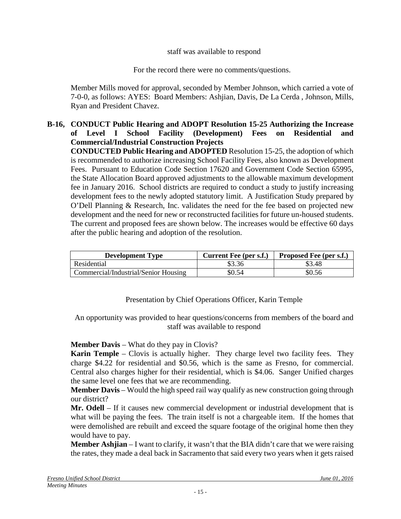#### staff was available to respond

For the record there were no comments/questions.

Member Mills moved for approval, seconded by Member Johnson, which carried a vote of 7-0-0, as follows: AYES: Board Members: Ashjian, Davis, De La Cerda , Johnson, Mills, Ryan and President Chavez.

#### **B-16, CONDUCT Public Hearing and ADOPT Resolution 15-25 Authorizing the Increase of Level I School Facility (Development) Fees on Residential and Commercial/Industrial Construction Projects**

**CONDUCTED Public Hearing and ADOPTED** Resolution 15-25, the adoption of which is recommended to authorize increasing School Facility Fees, also known as Development Fees. Pursuant to Education Code Section 17620 and Government Code Section 65995, the State Allocation Board approved adjustments to the allowable maximum development fee in January 2016. School districts are required to conduct a study to justify increasing development fees to the newly adopted statutory limit. A Justification Study prepared by O'Dell Planning & Research, Inc. validates the need for the fee based on projected new development and the need for new or reconstructed facilities for future un-housed students. The current and proposed fees are shown below. The increases would be effective 60 days after the public hearing and adoption of the resolution.

| <b>Development Type</b>              | Current Fee (per s.f.) | <b>Proposed Fee (per s.f.)</b> |
|--------------------------------------|------------------------|--------------------------------|
| Residential                          | \$3.36                 | \$3.48                         |
| Commercial/Industrial/Senior Housing | \$0.54                 | 50.56                          |

## Presentation by Chief Operations Officer, Karin Temple

An opportunity was provided to hear questions/concerns from members of the board and staff was available to respond

#### **Member Davis** – What do they pay in Clovis?

**Karin Temple** – Clovis is actually higher. They charge level two facility fees. They charge \$4.22 for residential and \$0.56, which is the same as Fresno, for commercial. Central also charges higher for their residential, which is \$4.06. Sanger Unified charges the same level one fees that we are recommending.

**Member Davis** – Would the high speed rail way qualify as new construction going through our district?

**Mr. Odell** – If it causes new commercial development or industrial development that is what will be paying the fees. The train itself is not a chargeable item. If the homes that were demolished are rebuilt and exceed the square footage of the original home then they would have to pay.

**Member Ashjian** – I want to clarify, it wasn't that the BIA didn't care that we were raising the rates, they made a deal back in Sacramento that said every two years when it gets raised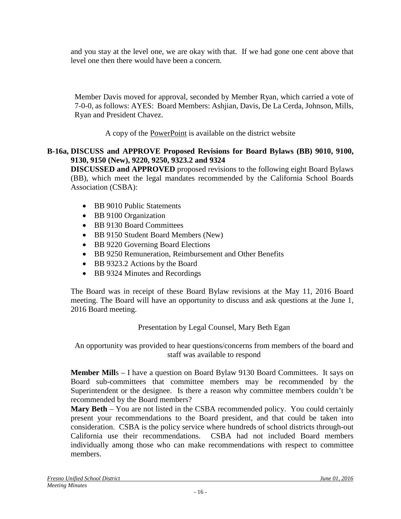and you stay at the level one, we are okay with that. If we had gone one cent above that level one then there would have been a concern.

Member Davis moved for approval, seconded by Member Ryan, which carried a vote of 7-0-0, as follows: AYES: Board Members: Ashjian, Davis, De La Cerda, Johnson, Mills, Ryan and President Chavez.

A copy of the PowerPoint is available on the district website

## **B-16a, DISCUSS and APPROVE Proposed Revisions for Board Bylaws (BB) 9010, 9100, 9130, 9150 (New), 9220, 9250, 9323.2 and 9324**

**DISCUSSED and APPROVED** proposed revisions to the following eight Board Bylaws (BB), which meet the legal mandates recommended by the California School Boards Association (CSBA):

- BB 9010 Public Statements
- BB 9100 Organization
- BB 9130 Board Committees
- BB 9150 Student Board Members (New)
- BB 9220 Governing Board Elections
- BB 9250 Remuneration, Reimbursement and Other Benefits
- BB 9323.2 Actions by the Board
- BB 9324 Minutes and Recordings

The Board was in receipt of these Board Bylaw revisions at the May 11, 2016 Board meeting. The Board will have an opportunity to discuss and ask questions at the June 1, 2016 Board meeting.

## Presentation by Legal Counsel, Mary Beth Egan

An opportunity was provided to hear questions/concerns from members of the board and staff was available to respond

**Member Mill**s – I have a question on Board Bylaw 9130 Board Committees. It says on Board sub-committees that committee members may be recommended by the Superintendent or the designee. Is there a reason why committee members couldn't be recommended by the Board members?

**Mary Beth** – You are not listed in the CSBA recommended policy. You could certainly present your recommendations to the Board president, and that could be taken into consideration. CSBA is the policy service where hundreds of school districts through-out California use their recommendations. CSBA had not included Board members individually among those who can make recommendations with respect to committee members.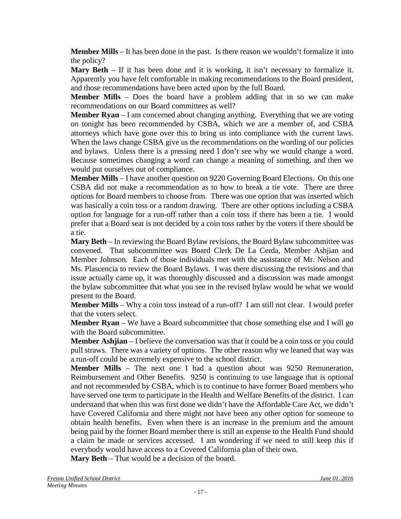**Member Mills** – It has been done in the past. Is there reason we wouldn't formalize it into the policy?

**Mary Beth** – If it has been done and it is working, it isn't necessary to formalize it. Apparently you have felt comfortable in making recommendations to the Board president, and those recommendations have been acted upon by the full Board.

**Member Mills** – Does the board have a problem adding that in so we can make recommendations on our Board committees as well?

**Member Ryan** – I am concerned about changing anything. Everything that we are voting on tonight has been recommended by CSBA, which we are a member of, and CSBA attorneys which have gone over this to bring us into compliance with the current laws. When the laws change CSBA give us the recommendations on the wording of our policies and bylaws. Unless there is a pressing need I don't see why we would change a word. Because sometimes changing a word can change a meaning of something, and then we would put ourselves out of compliance.

**Member Mills** – I have another question on 9220 Governing Board Elections. On this one CSBA did not make a recommendation as to how to break a tie vote. There are three options for Board members to choose from. There was one option that was inserted which was basically a coin toss or a random drawing. There are other options including a CSBA option for language for a run-off rather than a coin toss if there has been a tie. I would prefer that a Board seat is not decided by a coin toss rather by the voters if there should be a tie.

**Mary Beth** – In reviewing the Board Bylaw revisions, the Board Bylaw subcommittee was convened. That subcommittee was Board Clerk De La Cerda, Member Ashjian and Member Johnson. Each of those individuals met with the assistance of Mr. Nelson and Ms. Plascencia to review the Board Bylaws. I was there discussing the revisions and that issue actually came up, it was thoroughly discussed and a discussion was made amongst the bylaw subcommittee that what you see in the revised bylaw would be what we would present to the Board.

**Member Mills** – Why a coin toss instead of a run-off? I am still not clear. I would prefer that the voters select.

**Member Ryan** – We have a Board subcommittee that chose something else and I will go with the Board subcommittee.

**Member Ashjian** – I believe the conversation was that it could be a coin toss or you could pull straws. There was a variety of options. The other reason why we leaned that way was a run-off could be extremely expensive to the school district.

**Member Mills** – The next one I had a question about was 9250 Remuneration, Reimbursement and Other Benefits. 9250 is continuing to use language that is optional and not recommended by CSBA, which is to continue to have former Board members who have served one term to participate in the Health and Welfare Benefits of the district. I can understand that when this was first done we didn't have the Affordable Care Act, we didn't have Covered California and there might not have been any other option for someone to obtain health benefits. Even when there is an increase in the premium and the amount being paid by the former Board member there is still an expense to the Health Fund should a claim be made or services accessed. I am wondering if we need to still keep this if everybody would have access to a Covered California plan of their own.

**Mary Beth** – That would be a decision of the board.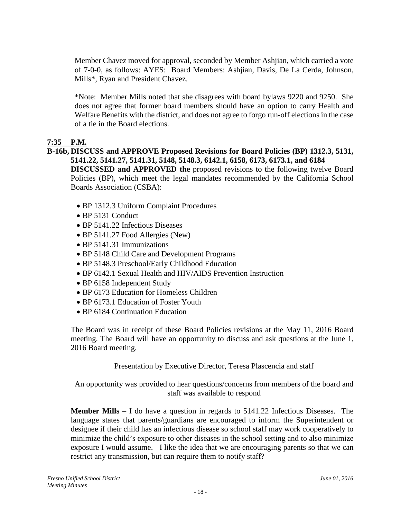Member Chavez moved for approval, seconded by Member Ashjian, which carried a vote of 7-0-0, as follows: AYES: Board Members: Ashjian, Davis, De La Cerda, Johnson, Mills\*, Ryan and President Chavez.

\*Note: Member Mills noted that she disagrees with board bylaws 9220 and 9250. She does not agree that former board members should have an option to carry Health and Welfare Benefits with the district, and does not agree to forgo run-off elections in the case of a tie in the Board elections.

## **7:35 P.M.**

## **B-16b, DISCUSS and APPROVE Proposed Revisions for Board Policies (BP) 1312.3, 5131, 5141.22, 5141.27, 5141.31, 5148, 5148.3, 6142.1, 6158, 6173, 6173.1, and 6184**

**DISCUSSED and APPROVED the** proposed revisions to the following twelve Board Policies (BP), which meet the legal mandates recommended by the California School Boards Association (CSBA):

- BP 1312.3 Uniform Complaint Procedures
- BP 5131 Conduct
- BP 5141.22 Infectious Diseases
- BP 5141.27 Food Allergies (New)
- BP 5141.31 Immunizations
- BP 5148 Child Care and Development Programs
- BP 5148.3 Preschool/Early Childhood Education
- BP 6142.1 Sexual Health and HIV/AIDS Prevention Instruction
- BP 6158 Independent Study
- BP 6173 Education for Homeless Children
- BP 6173.1 Education of Foster Youth
- BP 6184 Continuation Education

The Board was in receipt of these Board Policies revisions at the May 11, 2016 Board meeting. The Board will have an opportunity to discuss and ask questions at the June 1, 2016 Board meeting.

Presentation by Executive Director, Teresa Plascencia and staff

An opportunity was provided to hear questions/concerns from members of the board and staff was available to respond

**Member Mills** – I do have a question in regards to 5141.22 Infectious Diseases. The language states that parents/guardians are encouraged to inform the Superintendent or designee if their child has an infectious disease so school staff may work cooperatively to minimize the child's exposure to other diseases in the school setting and to also minimize exposure I would assume. I like the idea that we are encouraging parents so that we can restrict any transmission, but can require them to notify staff?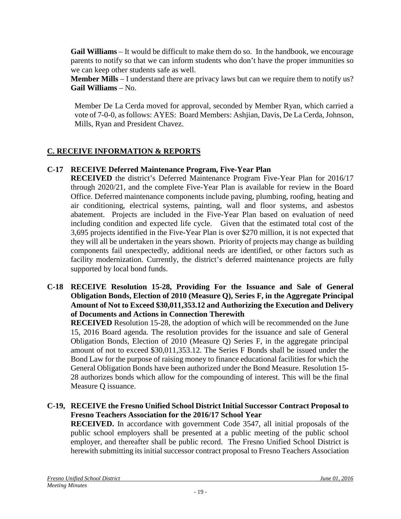**Gail Williams** – It would be difficult to make them do so. In the handbook, we encourage parents to notify so that we can inform students who don't have the proper immunities so we can keep other students safe as well.

**Member Mills** – I understand there are privacy laws but can we require them to notify us? **Gail Williams** – No.

Member De La Cerda moved for approval, seconded by Member Ryan, which carried a vote of 7-0-0, as follows: AYES: Board Members: Ashjian, Davis, De La Cerda, Johnson, Mills, Ryan and President Chavez.

## **C. RECEIVE INFORMATION & REPORTS**

## **C-17 RECEIVE Deferred Maintenance Program, Five-Year Plan**

**RECEIVED** the district's Deferred Maintenance Program Five-Year Plan for 2016/17 through 2020/21, and the complete Five-Year Plan is available for review in the Board Office. Deferred maintenance components include paving, plumbing, roofing, heating and air conditioning, electrical systems, painting, wall and floor systems, and asbestos abatement. Projects are included in the Five-Year Plan based on evaluation of need including condition and expected life cycle. Given that the estimated total cost of the 3,695 projects identified in the Five-Year Plan is over \$270 million, it is not expected that they will all be undertaken in the years shown. Priority of projects may change as building components fail unexpectedly, additional needs are identified, or other factors such as facility modernization. Currently, the district's deferred maintenance projects are fully supported by local bond funds.

#### **C-18 RECEIVE Resolution 15-28, Providing For the Issuance and Sale of General Obligation Bonds, Election of 2010 (Measure Q), Series F, in the Aggregate Principal Amount of Not to Exceed \$30,011,353.12 and Authorizing the Execution and Delivery of Documents and Actions in Connection Therewith**

**RECEIVED** Resolution 15-28, the adoption of which will be recommended on the June 15, 2016 Board agenda. The resolution provides for the issuance and sale of General Obligation Bonds, Election of 2010 (Measure Q) Series F, in the aggregate principal amount of not to exceed \$30,011,353.12. The Series F Bonds shall be issued under the Bond Law for the purpose of raising money to finance educational facilities for which the General Obligation Bonds have been authorized under the Bond Measure. Resolution 15- 28 authorizes bonds which allow for the compounding of interest. This will be the final Measure Q issuance.

## **C-19, RECEIVE the Fresno Unified School District Initial Successor Contract Proposal to Fresno Teachers Association for the 2016/17 School Year**

**RECEIVED.** In accordance with government Code 3547, all initial proposals of the public school employers shall be presented at a public meeting of the public school employer, and thereafter shall be public record. The Fresno Unified School District is herewith submitting its initial successor contract proposal to Fresno Teachers Association